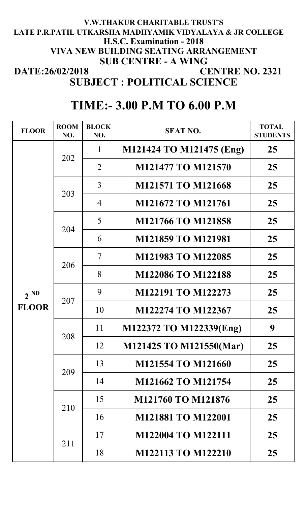## **CENTRE NO. 2321 V.W.THAKUR CHARITABLE TRUST'S VIVA NEW BUILDING SEATING ARRANGEMENT SUB CENTRE - A WING SUBJECT : POLITICAL SCIENCE DATE:26/02/2018 H.S.C. Examination - 2018 LATE P.R.PATIL UTKARSHA MADHYAMIK VIDYALAYA & JR COLLEGE**

## **TIME:- 3.00 P.M TO 6.00 P.M**

| <b>FLOOR</b>             | <b>ROOM</b><br>NO. | <b>BLOCK</b><br>NO. | <b>SEAT NO.</b>           | <b>TOTAL</b><br><b>STUDENTS</b> |
|--------------------------|--------------------|---------------------|---------------------------|---------------------------------|
| $2^{ND}$<br><b>FLOOR</b> | 202                | 1                   | M121424 TO M121475 (Eng)  | 25                              |
|                          |                    | 2                   | M121477 TO M121570        | 25                              |
|                          | 203                | 3                   | <b>M121571 TO M121668</b> | 25                              |
|                          |                    | $\overline{4}$      | M121672 TO M121761        | 25                              |
|                          | 204                | 5                   | M121766 TO M121858        | 25                              |
|                          |                    | 6                   | <b>M121859 TO M121981</b> | 25                              |
|                          | 206                | 7                   | M121983 TO M122085        | 25                              |
|                          |                    | 8                   | M122086 TO M122188        | 25                              |
|                          | 207                | 9                   | M122191 TO M122273        | 25                              |
|                          |                    | 10                  | M122274 TO M122367        | 25                              |
|                          | 208                | 11                  | M122372 TO M122339(Eng)   | 9                               |
|                          |                    | 12                  | M121425 TO M121550(Mar)   | 25                              |
|                          | 209                | 13                  | M121554 TO M121660        | 25                              |
|                          |                    | 14                  | M121662 TO M121754        | 25                              |
|                          | 210                | 15                  | M121760 TO M121876        | 25                              |
|                          |                    | 16                  | M121881 TO M122001        | 25                              |
|                          | 211                | 17                  | M122004 TO M122111        | 25                              |
|                          |                    | 18                  | <b>M122113 TO M122210</b> | 25                              |